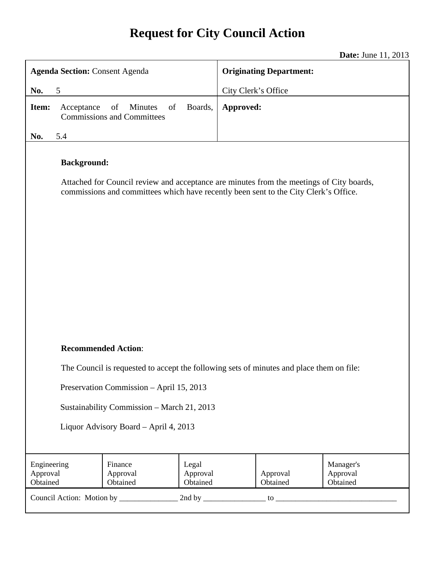# **Request for City Council Action**

**Date:** June 11, 2013

|                                                                                                                                                                                                        |                                                          |                               |                                |                      | Date: $J$ ulle $11, 2013$         |
|--------------------------------------------------------------------------------------------------------------------------------------------------------------------------------------------------------|----------------------------------------------------------|-------------------------------|--------------------------------|----------------------|-----------------------------------|
| <b>Agenda Section: Consent Agenda</b>                                                                                                                                                                  |                                                          |                               | <b>Originating Department:</b> |                      |                                   |
| 5<br>No.                                                                                                                                                                                               |                                                          |                               | City Clerk's Office            |                      |                                   |
| Item:<br>Acceptance                                                                                                                                                                                    | of<br>Minutes<br>of<br><b>Commissions and Committees</b> | Boards,                       | Approved:                      |                      |                                   |
| No.<br>5.4                                                                                                                                                                                             |                                                          |                               |                                |                      |                                   |
| <b>Background:</b><br>Attached for Council review and acceptance are minutes from the meetings of City boards,<br>commissions and committees which have recently been sent to the City Clerk's Office. |                                                          |                               |                                |                      |                                   |
| <b>Recommended Action:</b>                                                                                                                                                                             |                                                          |                               |                                |                      |                                   |
| The Council is requested to accept the following sets of minutes and place them on file:                                                                                                               |                                                          |                               |                                |                      |                                   |
| Preservation Commission - April 15, 2013                                                                                                                                                               |                                                          |                               |                                |                      |                                   |
| Sustainability Commission - March 21, 2013                                                                                                                                                             |                                                          |                               |                                |                      |                                   |
| Liquor Advisory Board - April 4, 2013                                                                                                                                                                  |                                                          |                               |                                |                      |                                   |
|                                                                                                                                                                                                        |                                                          |                               |                                |                      |                                   |
| Engineering<br>Approval<br>Obtained                                                                                                                                                                    | Finance<br>Approval<br>Obtained                          | Legal<br>Approval<br>Obtained |                                | Approval<br>Obtained | Manager's<br>Approval<br>Obtained |
|                                                                                                                                                                                                        |                                                          |                               |                                |                      |                                   |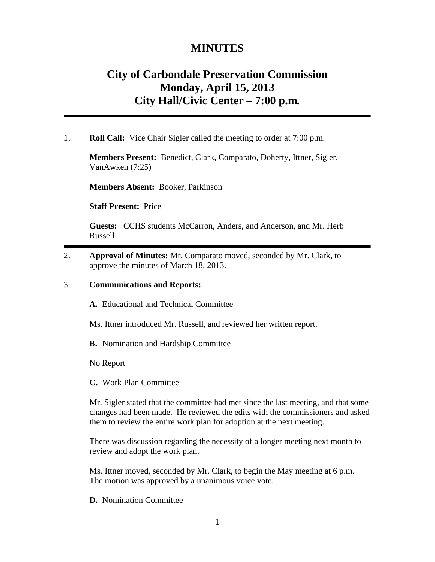# **MINUTES**

# **City of Carbondale Preservation Commission Monday, April 15, 2013 City Hall/Civic Center – 7:00 p.m***.*

1. **Roll Call:** Vice Chair Sigler called the meeting to order at 7:00 p.m.

**Members Present:** Benedict, Clark, Comparato, Doherty, Ittner, Sigler, VanAwken (7:25)

**Members Absent:** Booker, Parkinson

**Staff Present:** Price

**Guests:** CCHS students McCarron, Anders, and Anderson, and Mr. Herb Russell

2. **Approval of Minutes:** Mr. Comparato moved, seconded by Mr. Clark, to approve the minutes of March 18, 2013.

# 3. **Communications and Reports:**

**A.** Educational and Technical Committee

Ms. Ittner introduced Mr. Russell, and reviewed her written report.

**B.** Nomination and Hardship Committee

No Report

**C.** Work Plan Committee

Mr. Sigler stated that the committee had met since the last meeting, and that some changes had been made. He reviewed the edits with the commissioners and asked them to review the entire work plan for adoption at the next meeting.

There was discussion regarding the necessity of a longer meeting next month to review and adopt the work plan.

Ms. Ittner moved, seconded by Mr. Clark, to begin the May meeting at 6 p.m. The motion was approved by a unanimous voice vote.

**D.** Nomination Committee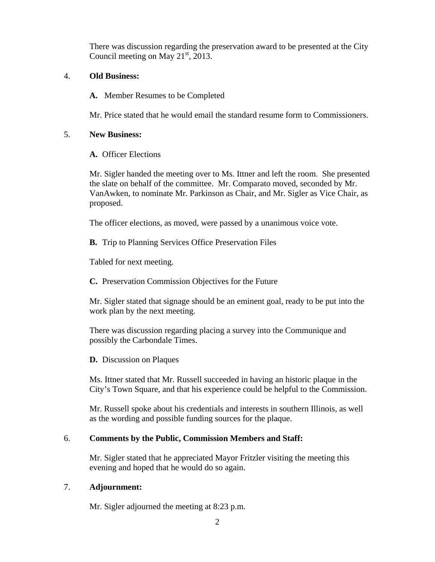There was discussion regarding the preservation award to be presented at the City Council meeting on May  $21<sup>st</sup>$ , 2013.

### 4. **Old Business:**

**A.** Member Resumes to be Completed

Mr. Price stated that he would email the standard resume form to Commissioners.

### 5. **New Business:**

**A.** Officer Elections

Mr. Sigler handed the meeting over to Ms. Ittner and left the room. She presented the slate on behalf of the committee. Mr. Comparato moved, seconded by Mr. VanAwken, to nominate Mr. Parkinson as Chair, and Mr. Sigler as Vice Chair, as proposed.

The officer elections, as moved, were passed by a unanimous voice vote.

**B.** Trip to Planning Services Office Preservation Files

Tabled for next meeting.

**C.** Preservation Commission Objectives for the Future

Mr. Sigler stated that signage should be an eminent goal, ready to be put into the work plan by the next meeting.

There was discussion regarding placing a survey into the Communique and possibly the Carbondale Times.

**D.** Discussion on Plaques

Ms. Ittner stated that Mr. Russell succeeded in having an historic plaque in the City's Town Square, and that his experience could be helpful to the Commission.

Mr. Russell spoke about his credentials and interests in southern Illinois, as well as the wording and possible funding sources for the plaque.

# 6. **Comments by the Public, Commission Members and Staff:**

Mr. Sigler stated that he appreciated Mayor Fritzler visiting the meeting this evening and hoped that he would do so again.

# 7. **Adjournment:**

Mr. Sigler adjourned the meeting at 8:23 p.m.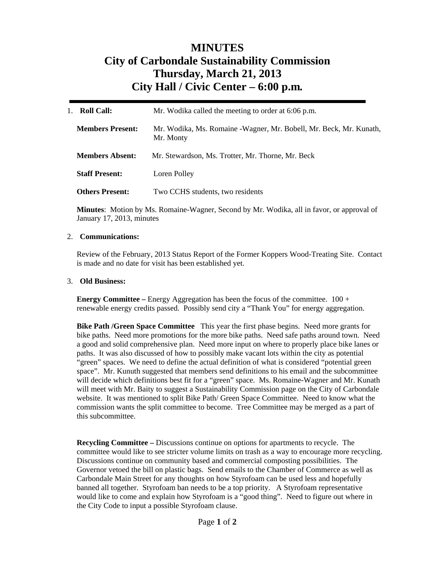# **MINUTES City of Carbondale Sustainability Commission Thursday, March 21, 2013 City Hall / Civic Center – 6:00 p.m***.*

| <b>Roll Call:</b>       | Mr. Wodika called the meeting to order at 6:06 p.m.                              |  |
|-------------------------|----------------------------------------------------------------------------------|--|
| <b>Members Present:</b> | Mr. Wodika, Ms. Romaine - Wagner, Mr. Bobell, Mr. Beck, Mr. Kunath,<br>Mr. Monty |  |
| <b>Members Absent:</b>  | Mr. Stewardson, Ms. Trotter, Mr. Thorne, Mr. Beck                                |  |
| <b>Staff Present:</b>   | Loren Polley                                                                     |  |
| <b>Others Present:</b>  | Two CCHS students, two residents                                                 |  |

**Minutes**: Motion by Ms. Romaine-Wagner, Second by Mr. Wodika, all in favor, or approval of January 17, 2013, minutes

### 2. **Communications:**

Review of the February, 2013 Status Report of the Former Koppers Wood-Treating Site. Contact is made and no date for visit has been established yet.

#### 3. **Old Business:**

**Energy Committee –** Energy Aggregation has been the focus of the committee. 100 + renewable energy credits passed. Possibly send city a "Thank You" for energy aggregation.

**Bike Path /Green Space Committee** This year the first phase begins. Need more grants for bike paths. Need more promotions for the more bike paths. Need safe paths around town. Need a good and solid comprehensive plan. Need more input on where to properly place bike lanes or paths. It was also discussed of how to possibly make vacant lots within the city as potential "green" spaces. We need to define the actual definition of what is considered "potential green space". Mr. Kunuth suggested that members send definitions to his email and the subcommittee will decide which definitions best fit for a "green" space. Ms. Romaine-Wagner and Mr. Kunath will meet with Mr. Baity to suggest a Sustainability Commission page on the City of Carbondale website. It was mentioned to split Bike Path/ Green Space Committee. Need to know what the commission wants the split committee to become. Tree Committee may be merged as a part of this subcommittee.

**Recycling Committee –** Discussions continue on options for apartments to recycle. The committee would like to see stricter volume limits on trash as a way to encourage more recycling. Discussions continue on community based and commercial composting possibilities. The Governor vetoed the bill on plastic bags. Send emails to the Chamber of Commerce as well as Carbondale Main Street for any thoughts on how Styrofoam can be used less and hopefully banned all together. Styrofoam ban needs to be a top priority. A Styrofoam representative would like to come and explain how Styrofoam is a "good thing". Need to figure out where in the City Code to input a possible Styrofoam clause.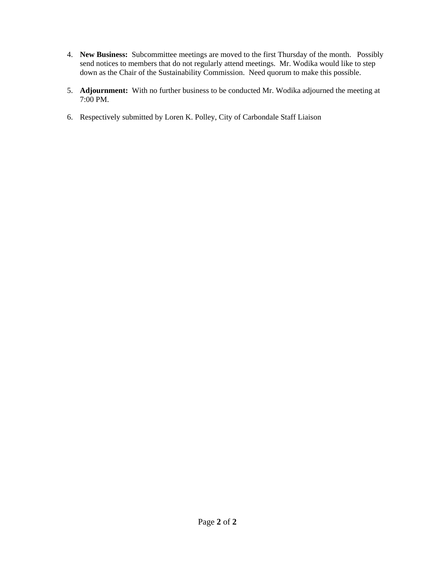- 4. **New Business:** Subcommittee meetings are moved to the first Thursday of the month. Possibly send notices to members that do not regularly attend meetings. Mr. Wodika would like to step down as the Chair of the Sustainability Commission. Need quorum to make this possible.
- 5. **Adjournment:** With no further business to be conducted Mr. Wodika adjourned the meeting at 7:00 PM.
- 6. Respectively submitted by Loren K. Polley, City of Carbondale Staff Liaison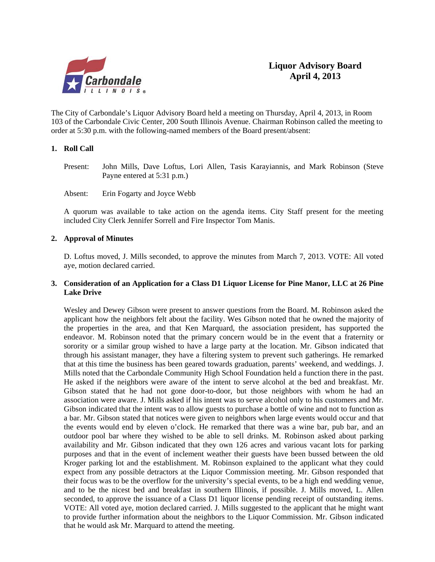

The City of Carbondale's Liquor Advisory Board held a meeting on Thursday, April 4, 2013, in Room 103 of the Carbondale Civic Center, 200 South Illinois Avenue. Chairman Robinson called the meeting to order at 5:30 p.m. with the following-named members of the Board present/absent:

### **1. Roll Call**

Present: John Mills, Dave Loftus, Lori Allen, Tasis Karayiannis, and Mark Robinson (Steve Payne entered at 5:31 p.m.)

Absent: Erin Fogarty and Joyce Webb

A quorum was available to take action on the agenda items. City Staff present for the meeting included City Clerk Jennifer Sorrell and Fire Inspector Tom Manis.

### **2. Approval of Minutes**

D. Loftus moved, J. Mills seconded, to approve the minutes from March 7, 2013. VOTE: All voted aye, motion declared carried.

### **3. Consideration of an Application for a Class D1 Liquor License for Pine Manor, LLC at 26 Pine Lake Drive**

 Wesley and Dewey Gibson were present to answer questions from the Board. M. Robinson asked the applicant how the neighbors felt about the facility. Wes Gibson noted that he owned the majority of the properties in the area, and that Ken Marquard, the association president, has supported the endeavor. M. Robinson noted that the primary concern would be in the event that a fraternity or sorority or a similar group wished to have a large party at the location. Mr. Gibson indicated that through his assistant manager, they have a filtering system to prevent such gatherings. He remarked that at this time the business has been geared towards graduation, parents' weekend, and weddings. J. Mills noted that the Carbondale Community High School Foundation held a function there in the past. He asked if the neighbors were aware of the intent to serve alcohol at the bed and breakfast. Mr. Gibson stated that he had not gone door-to-door, but those neighbors with whom he had an association were aware. J. Mills asked if his intent was to serve alcohol only to his customers and Mr. Gibson indicated that the intent was to allow guests to purchase a bottle of wine and not to function as a bar. Mr. Gibson stated that notices were given to neighbors when large events would occur and that the events would end by eleven o'clock. He remarked that there was a wine bar, pub bar, and an outdoor pool bar where they wished to be able to sell drinks. M. Robinson asked about parking availability and Mr. Gibson indicated that they own 126 acres and various vacant lots for parking purposes and that in the event of inclement weather their guests have been bussed between the old Kroger parking lot and the establishment. M. Robinson explained to the applicant what they could expect from any possible detractors at the Liquor Commission meeting. Mr. Gibson responded that their focus was to be the overflow for the university's special events, to be a high end wedding venue, and to be the nicest bed and breakfast in southern Illinois, if possible. J. Mills moved, L. Allen seconded, to approve the issuance of a Class D1 liquor license pending receipt of outstanding items. VOTE: All voted aye, motion declared carried. J. Mills suggested to the applicant that he might want to provide further information about the neighbors to the Liquor Commission. Mr. Gibson indicated that he would ask Mr. Marquard to attend the meeting.